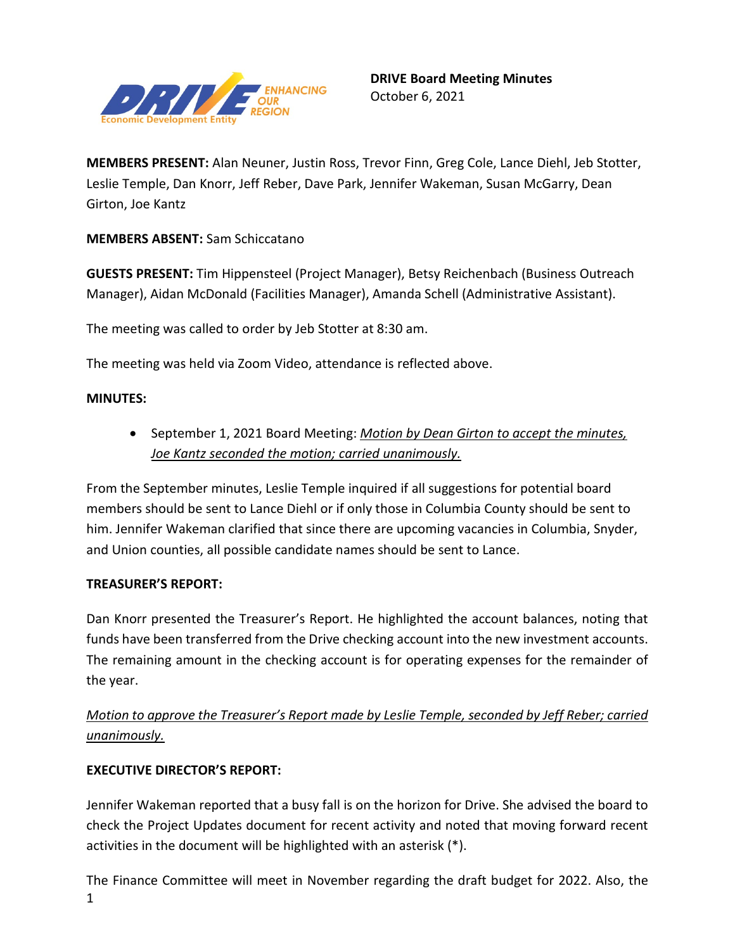

**MEMBERS PRESENT:** Alan Neuner, Justin Ross, Trevor Finn, Greg Cole, Lance Diehl, Jeb Stotter, Leslie Temple, Dan Knorr, Jeff Reber, Dave Park, Jennifer Wakeman, Susan McGarry, Dean Girton, Joe Kantz

**MEMBERS ABSENT:** Sam Schiccatano

**GUESTS PRESENT:** Tim Hippensteel (Project Manager), Betsy Reichenbach (Business Outreach Manager), Aidan McDonald (Facilities Manager), Amanda Schell (Administrative Assistant).

The meeting was called to order by Jeb Stotter at 8:30 am.

The meeting was held via Zoom Video, attendance is reflected above.

### **MINUTES:**

• September 1, 2021 Board Meeting: *Motion by Dean Girton to accept the minutes, Joe Kantz seconded the motion; carried unanimously.* 

From the September minutes, Leslie Temple inquired if all suggestions for potential board members should be sent to Lance Diehl or if only those in Columbia County should be sent to him. Jennifer Wakeman clarified that since there are upcoming vacancies in Columbia, Snyder, and Union counties, all possible candidate names should be sent to Lance.

### **TREASURER'S REPORT:**

Dan Knorr presented the Treasurer's Report. He highlighted the account balances, noting that funds have been transferred from the Drive checking account into the new investment accounts. The remaining amount in the checking account is for operating expenses for the remainder of the year.

# *Motion to approve the Treasurer's Report made by Leslie Temple, seconded by Jeff Reber; carried unanimously.*

### **EXECUTIVE DIRECTOR'S REPORT:**

Jennifer Wakeman reported that a busy fall is on the horizon for Drive. She advised the board to check the Project Updates document for recent activity and noted that moving forward recent activities in the document will be highlighted with an asterisk (\*).

1 The Finance Committee will meet in November regarding the draft budget for 2022. Also, the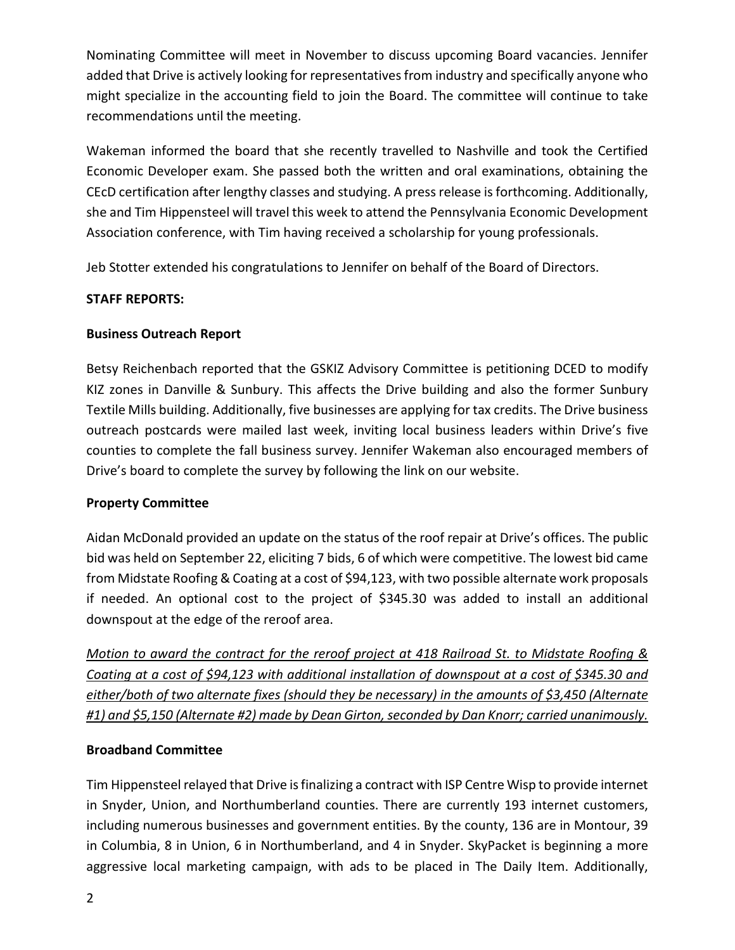Nominating Committee will meet in November to discuss upcoming Board vacancies. Jennifer added that Drive is actively looking for representatives from industry and specifically anyone who might specialize in the accounting field to join the Board. The committee will continue to take recommendations until the meeting.

Wakeman informed the board that she recently travelled to Nashville and took the Certified Economic Developer exam. She passed both the written and oral examinations, obtaining the CEcD certification after lengthy classes and studying. A press release is forthcoming. Additionally, she and Tim Hippensteel will travel this week to attend the Pennsylvania Economic Development Association conference, with Tim having received a scholarship for young professionals.

Jeb Stotter extended his congratulations to Jennifer on behalf of the Board of Directors.

### **STAFF REPORTS:**

### **Business Outreach Report**

Betsy Reichenbach reported that the GSKIZ Advisory Committee is petitioning DCED to modify KIZ zones in Danville & Sunbury. This affects the Drive building and also the former Sunbury Textile Mills building. Additionally, five businesses are applying for tax credits. The Drive business outreach postcards were mailed last week, inviting local business leaders within Drive's five counties to complete the fall business survey. Jennifer Wakeman also encouraged members of Drive's board to complete the survey by following the link on our website.

### **Property Committee**

Aidan McDonald provided an update on the status of the roof repair at Drive's offices. The public bid was held on September 22, eliciting 7 bids, 6 of which were competitive. The lowest bid came from Midstate Roofing & Coating at a cost of \$94,123, with two possible alternate work proposals if needed. An optional cost to the project of \$345.30 was added to install an additional downspout at the edge of the reroof area.

*Motion to award the contract for the reroof project at 418 Railroad St. to Midstate Roofing & Coating at a cost of \$94,123 with additional installation of downspout at a cost of \$345.30 and either/both of two alternate fixes (should they be necessary) in the amounts of \$3,450 (Alternate #1) and \$5,150 (Alternate #2) made by Dean Girton, seconded by Dan Knorr; carried unanimously.*

## **Broadband Committee**

Tim Hippensteel relayed that Drive is finalizing a contract with ISP Centre Wisp to provide internet in Snyder, Union, and Northumberland counties. There are currently 193 internet customers, including numerous businesses and government entities. By the county, 136 are in Montour, 39 in Columbia, 8 in Union, 6 in Northumberland, and 4 in Snyder. SkyPacket is beginning a more aggressive local marketing campaign, with ads to be placed in The Daily Item. Additionally,